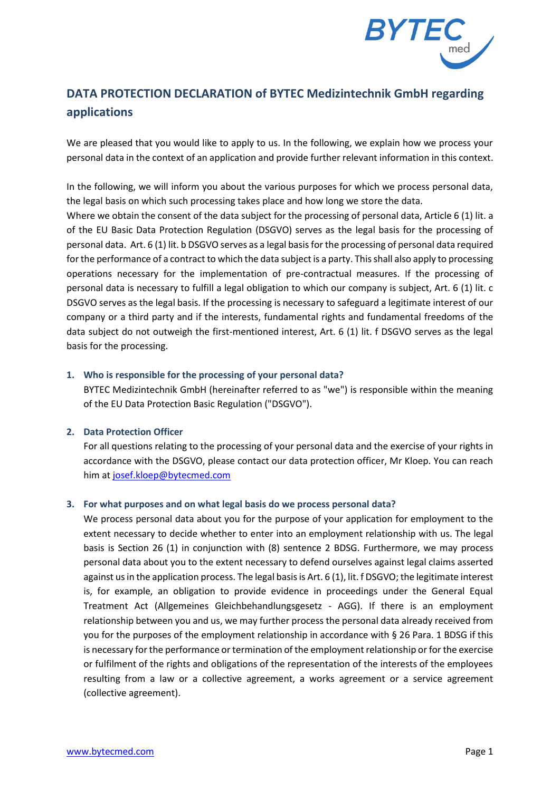

# **DATA PROTECTION DECLARATION of BYTEC Medizintechnik GmbH regarding applications**

We are pleased that you would like to apply to us. In the following, we explain how we process your personal data in the context of an application and provide further relevant information in this context.

In the following, we will inform you about the various purposes for which we process personal data, the legal basis on which such processing takes place and how long we store the data.

Where we obtain the consent of the data subject for the processing of personal data, Article 6 (1) lit. a of the EU Basic Data Protection Regulation (DSGVO) serves as the legal basis for the processing of personal data. Art. 6 (1) lit. b DSGVO serves as a legal basis for the processing of personal data required for the performance of a contract to which the data subject is a party. This shall also apply to processing operations necessary for the implementation of pre-contractual measures. If the processing of personal data is necessary to fulfill a legal obligation to which our company is subject, Art. 6 (1) lit. c DSGVO serves as the legal basis. If the processing is necessary to safeguard a legitimate interest of our company or a third party and if the interests, fundamental rights and fundamental freedoms of the data subject do not outweigh the first-mentioned interest, Art. 6 (1) lit. f DSGVO serves as the legal basis for the processing.

#### **1. Who is responsible for the processing of your personal data?**

BYTEC Medizintechnik GmbH (hereinafter referred to as "we") is responsible within the meaning of the EU Data Protection Basic Regulation ("DSGVO").

# **2. Data Protection Officer**

For all questions relating to the processing of your personal data and the exercise of your rights in accordance with the DSGVO, please contact our data protection officer, Mr Kloep. You can reach him at [josef.kloep@bytecmed.com](mailto:josef.kloep@bytecmed.com)

# **3. For what purposes and on what legal basis do we process personal data?**

We process personal data about you for the purpose of your application for employment to the extent necessary to decide whether to enter into an employment relationship with us. The legal basis is Section 26 (1) in conjunction with (8) sentence 2 BDSG. Furthermore, we may process personal data about you to the extent necessary to defend ourselves against legal claims asserted against us in the application process. The legal basis is Art. 6 (1), lit. f DSGVO; the legitimate interest is, for example, an obligation to provide evidence in proceedings under the General Equal Treatment Act (Allgemeines Gleichbehandlungsgesetz - AGG). If there is an employment relationship between you and us, we may further process the personal data already received from you for the purposes of the employment relationship in accordance with § 26 Para. 1 BDSG if this is necessary for the performance or termination of the employment relationship or for the exercise or fulfilment of the rights and obligations of the representation of the interests of the employees resulting from a law or a collective agreement, a works agreement or a service agreement (collective agreement).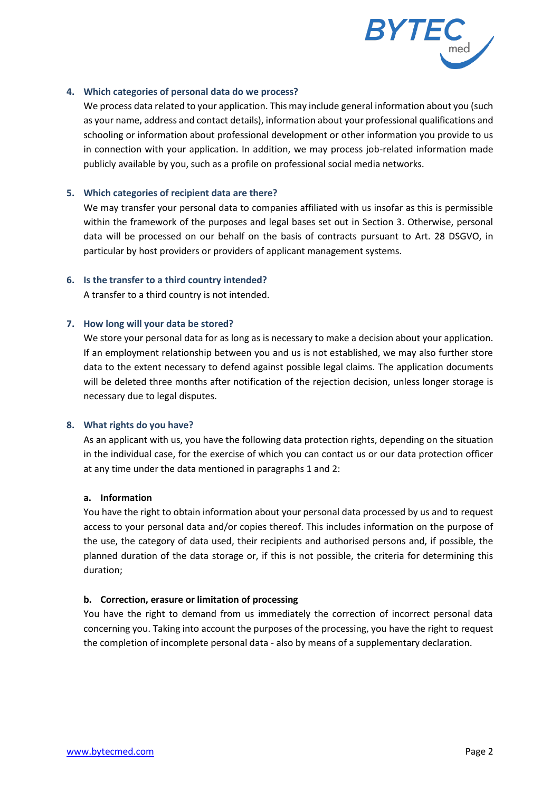

#### **4. Which categories of personal data do we process?**

We process data related to your application. This may include general information about you (such as your name, address and contact details), information about your professional qualifications and schooling or information about professional development or other information you provide to us in connection with your application. In addition, we may process job-related information made publicly available by you, such as a profile on professional social media networks.

#### **5. Which categories of recipient data are there?**

We may transfer your personal data to companies affiliated with us insofar as this is permissible within the framework of the purposes and legal bases set out in Section 3. Otherwise, personal data will be processed on our behalf on the basis of contracts pursuant to Art. 28 DSGVO, in particular by host providers or providers of applicant management systems.

## **6. Is the transfer to a third country intended?**

A transfer to a third country is not intended.

## **7. How long will your data be stored?**

We store your personal data for as long as is necessary to make a decision about your application. If an employment relationship between you and us is not established, we may also further store data to the extent necessary to defend against possible legal claims. The application documents will be deleted three months after notification of the rejection decision, unless longer storage is necessary due to legal disputes.

#### **8. What rights do you have?**

As an applicant with us, you have the following data protection rights, depending on the situation in the individual case, for the exercise of which you can contact us or our data protection officer at any time under the data mentioned in paragraphs 1 and 2:

#### **a. Information**

You have the right to obtain information about your personal data processed by us and to request access to your personal data and/or copies thereof. This includes information on the purpose of the use, the category of data used, their recipients and authorised persons and, if possible, the planned duration of the data storage or, if this is not possible, the criteria for determining this duration;

# **b. Correction, erasure or limitation of processing**

You have the right to demand from us immediately the correction of incorrect personal data concerning you. Taking into account the purposes of the processing, you have the right to request the completion of incomplete personal data - also by means of a supplementary declaration.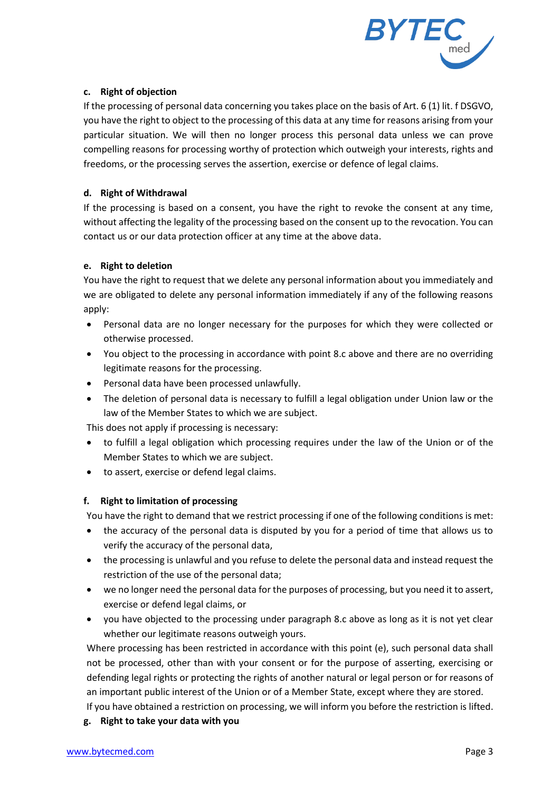

# **c. Right of objection**

If the processing of personal data concerning you takes place on the basis of Art. 6 (1) lit. f DSGVO, you have the right to object to the processing of this data at any time for reasons arising from your particular situation. We will then no longer process this personal data unless we can prove compelling reasons for processing worthy of protection which outweigh your interests, rights and freedoms, or the processing serves the assertion, exercise or defence of legal claims.

## **d. Right of Withdrawal**

If the processing is based on a consent, you have the right to revoke the consent at any time, without affecting the legality of the processing based on the consent up to the revocation. You can contact us or our data protection officer at any time at the above data.

## **e. Right to deletion**

You have the right to request that we delete any personal information about you immediately and we are obligated to delete any personal information immediately if any of the following reasons apply:

- Personal data are no longer necessary for the purposes for which they were collected or otherwise processed.
- You object to the processing in accordance with point 8.c above and there are no overriding legitimate reasons for the processing.
- Personal data have been processed unlawfully.
- The deletion of personal data is necessary to fulfill a legal obligation under Union law or the law of the Member States to which we are subject.

This does not apply if processing is necessary:

- to fulfill a legal obligation which processing requires under the law of the Union or of the Member States to which we are subject.
- to assert, exercise or defend legal claims.

# **f. Right to limitation of processing**

You have the right to demand that we restrict processing if one of the following conditions is met:

- the accuracy of the personal data is disputed by you for a period of time that allows us to verify the accuracy of the personal data,
- the processing is unlawful and you refuse to delete the personal data and instead request the restriction of the use of the personal data;
- we no longer need the personal data for the purposes of processing, but you need it to assert, exercise or defend legal claims, or
- you have objected to the processing under paragraph 8.c above as long as it is not yet clear whether our legitimate reasons outweigh yours.

Where processing has been restricted in accordance with this point (e), such personal data shall not be processed, other than with your consent or for the purpose of asserting, exercising or defending legal rights or protecting the rights of another natural or legal person or for reasons of an important public interest of the Union or of a Member State, except where they are stored.

If you have obtained a restriction on processing, we will inform you before the restriction is lifted.

**g. Right to take your data with you**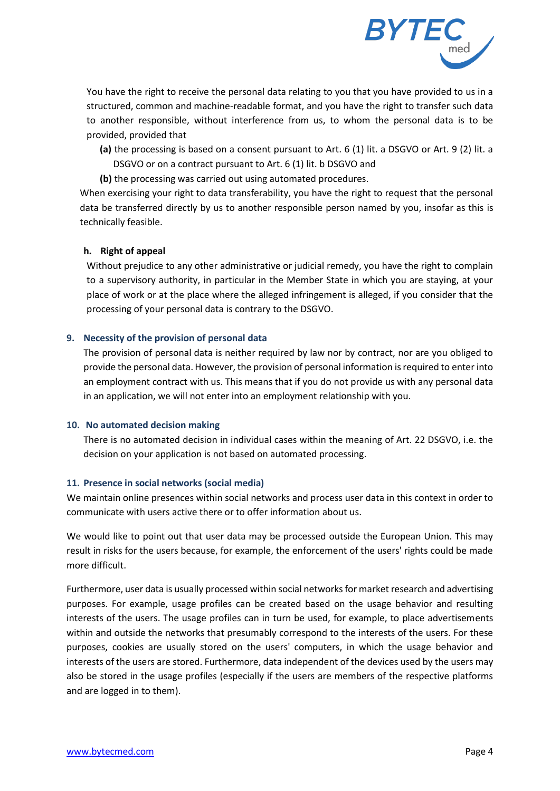

You have the right to receive the personal data relating to you that you have provided to us in a structured, common and machine-readable format, and you have the right to transfer such data to another responsible, without interference from us, to whom the personal data is to be provided, provided that

- **(a)** the processing is based on a consent pursuant to Art. 6 (1) lit. a DSGVO or Art. 9 (2) lit. a DSGVO or on a contract pursuant to Art. 6 (1) lit. b DSGVO and
- **(b)** the processing was carried out using automated procedures.

When exercising your right to data transferability, you have the right to request that the personal data be transferred directly by us to another responsible person named by you, insofar as this is technically feasible.

## **h. Right of appeal**

Without prejudice to any other administrative or judicial remedy, you have the right to complain to a supervisory authority, in particular in the Member State in which you are staying, at your place of work or at the place where the alleged infringement is alleged, if you consider that the processing of your personal data is contrary to the DSGVO.

## **9. Necessity of the provision of personal data**

The provision of personal data is neither required by law nor by contract, nor are you obliged to provide the personal data. However, the provision of personal information is required to enter into an employment contract with us. This means that if you do not provide us with any personal data in an application, we will not enter into an employment relationship with you.

#### **10. No automated decision making**

There is no automated decision in individual cases within the meaning of Art. 22 DSGVO, i.e. the decision on your application is not based on automated processing.

# **11. Presence in social networks (social media)**

We maintain online presences within social networks and process user data in this context in order to communicate with users active there or to offer information about us.

We would like to point out that user data may be processed outside the European Union. This may result in risks for the users because, for example, the enforcement of the users' rights could be made more difficult.

Furthermore, user data is usually processed within social networks for market research and advertising purposes. For example, usage profiles can be created based on the usage behavior and resulting interests of the users. The usage profiles can in turn be used, for example, to place advertisements within and outside the networks that presumably correspond to the interests of the users. For these purposes, cookies are usually stored on the users' computers, in which the usage behavior and interests of the users are stored. Furthermore, data independent of the devices used by the users may also be stored in the usage profiles (especially if the users are members of the respective platforms and are logged in to them).